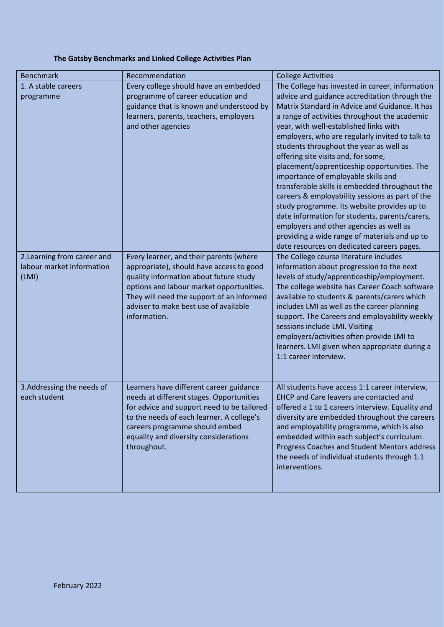## **The Gatsby Benchmarks and Linked College Activities Plan**

| <b>Benchmark</b>                                                  | Recommendation                                                                                                                                                                                                                                                                  | <b>College Activities</b>                                                                                                                                                                                                                                                                                                                                                                                                                                                                                                                                                                                                                                                                                                                                                                                                |
|-------------------------------------------------------------------|---------------------------------------------------------------------------------------------------------------------------------------------------------------------------------------------------------------------------------------------------------------------------------|--------------------------------------------------------------------------------------------------------------------------------------------------------------------------------------------------------------------------------------------------------------------------------------------------------------------------------------------------------------------------------------------------------------------------------------------------------------------------------------------------------------------------------------------------------------------------------------------------------------------------------------------------------------------------------------------------------------------------------------------------------------------------------------------------------------------------|
| 1. A stable careers<br>programme                                  | Every college should have an embedded<br>programme of career education and<br>guidance that is known and understood by<br>learners, parents, teachers, employers<br>and other agencies                                                                                          | The College has invested in career, information<br>advice and guidance accreditation through the<br>Matrix Standard in Advice and Guidance. It has<br>a range of activities throughout the academic<br>year, with well-established links with<br>employers, who are regularly invited to talk to<br>students throughout the year as well as<br>offering site visits and, for some,<br>placement/apprenticeship opportunities. The<br>importance of employable skills and<br>transferable skills is embedded throughout the<br>careers & employability sessions as part of the<br>study programme. Its website provides up to<br>date information for students, parents/carers,<br>employers and other agencies as well as<br>providing a wide range of materials and up to<br>date resources on dedicated careers pages. |
| 2. Learning from career and<br>labour market information<br>(LMI) | Every learner, and their parents (where<br>appropriate), should have access to good<br>quality information about future study<br>options and labour market opportunities.<br>They will need the support of an informed<br>adviser to make best use of available<br>information. | The College course literature includes<br>information about progression to the next<br>levels of study/apprenticeship/employment.<br>The college website has Career Coach software<br>available to students & parents/carers which<br>includes LMI as well as the career planning<br>support. The Careers and employability weekly<br>sessions include LMI. Visiting<br>employers/activities often provide LMI to<br>learners. LMI given when appropriate during a<br>1:1 career interview.                                                                                                                                                                                                                                                                                                                              |
| 3. Addressing the needs of<br>each student                        | Learners have different career guidance<br>needs at different stages. Opportunities<br>for advice and support need to be tailored<br>to the needs of each learner. A college's<br>careers programme should embed<br>equality and diversity considerations<br>throughout.        | All students have access 1:1 career interview,<br>EHCP and Care leavers are contacted and<br>offered a 1 to 1 careers interview. Equality and<br>diversity are embedded throughout the careers<br>and employability programme, which is also<br>embedded within each subject's curriculum.<br>Progress Coaches and Student Mentors address<br>the needs of individual students through 1.1<br>interventions.                                                                                                                                                                                                                                                                                                                                                                                                             |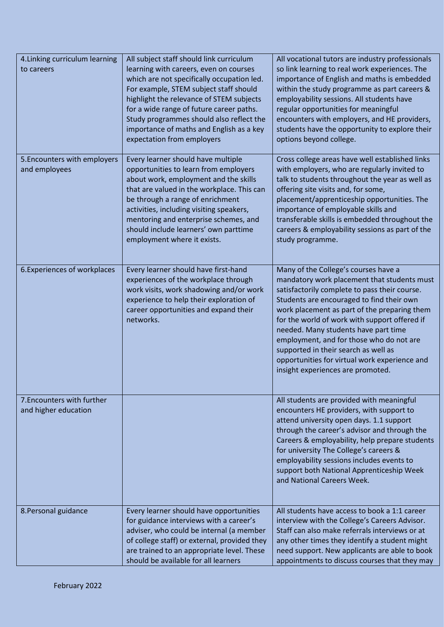| 4. Linking curriculum learning<br>to careers       | All subject staff should link curriculum<br>learning with careers, even on courses<br>which are not specifically occupation led.<br>For example, STEM subject staff should<br>highlight the relevance of STEM subjects<br>for a wide range of future career paths.<br>Study programmes should also reflect the<br>importance of maths and English as a key<br>expectation from employers | All vocational tutors are industry professionals<br>so link learning to real work experiences. The<br>importance of English and maths is embedded<br>within the study programme as part careers &<br>employability sessions. All students have<br>regular opportunities for meaningful<br>encounters with employers, and HE providers,<br>students have the opportunity to explore their<br>options beyond college.                                                                                  |
|----------------------------------------------------|------------------------------------------------------------------------------------------------------------------------------------------------------------------------------------------------------------------------------------------------------------------------------------------------------------------------------------------------------------------------------------------|------------------------------------------------------------------------------------------------------------------------------------------------------------------------------------------------------------------------------------------------------------------------------------------------------------------------------------------------------------------------------------------------------------------------------------------------------------------------------------------------------|
| 5. Encounters with employers<br>and employees      | Every learner should have multiple<br>opportunities to learn from employers<br>about work, employment and the skills<br>that are valued in the workplace. This can<br>be through a range of enrichment<br>activities, including visiting speakers,<br>mentoring and enterprise schemes, and<br>should include learners' own parttime<br>employment where it exists.                      | Cross college areas have well established links<br>with employers, who are regularly invited to<br>talk to students throughout the year as well as<br>offering site visits and, for some,<br>placement/apprenticeship opportunities. The<br>importance of employable skills and<br>transferable skills is embedded throughout the<br>careers & employability sessions as part of the<br>study programme.                                                                                             |
| 6. Experiences of workplaces                       | Every learner should have first-hand<br>experiences of the workplace through<br>work visits, work shadowing and/or work<br>experience to help their exploration of<br>career opportunities and expand their<br>networks.                                                                                                                                                                 | Many of the College's courses have a<br>mandatory work placement that students must<br>satisfactorily complete to pass their course.<br>Students are encouraged to find their own<br>work placement as part of the preparing them<br>for the world of work with support offered if<br>needed. Many students have part time<br>employment, and for those who do not are<br>supported in their search as well as<br>opportunities for virtual work experience and<br>insight experiences are promoted. |
| 7. Encounters with further<br>and higher education |                                                                                                                                                                                                                                                                                                                                                                                          | All students are provided with meaningful<br>encounters HE providers, with support to<br>attend university open days. 1.1 support<br>through the career's advisor and through the<br>Careers & employability, help prepare students<br>for university The College's careers &<br>employability sessions includes events to<br>support both National Apprenticeship Week<br>and National Careers Week.                                                                                                |
| 8. Personal guidance                               | Every learner should have opportunities<br>for guidance interviews with a career's<br>adviser, who could be internal (a member<br>of college staff) or external, provided they<br>are trained to an appropriate level. These<br>should be available for all learners                                                                                                                     | All students have access to book a 1:1 career<br>interview with the College's Careers Advisor.<br>Staff can also make referrals interviews or at<br>any other times they identify a student might<br>need support. New applicants are able to book<br>appointments to discuss courses that they may                                                                                                                                                                                                  |